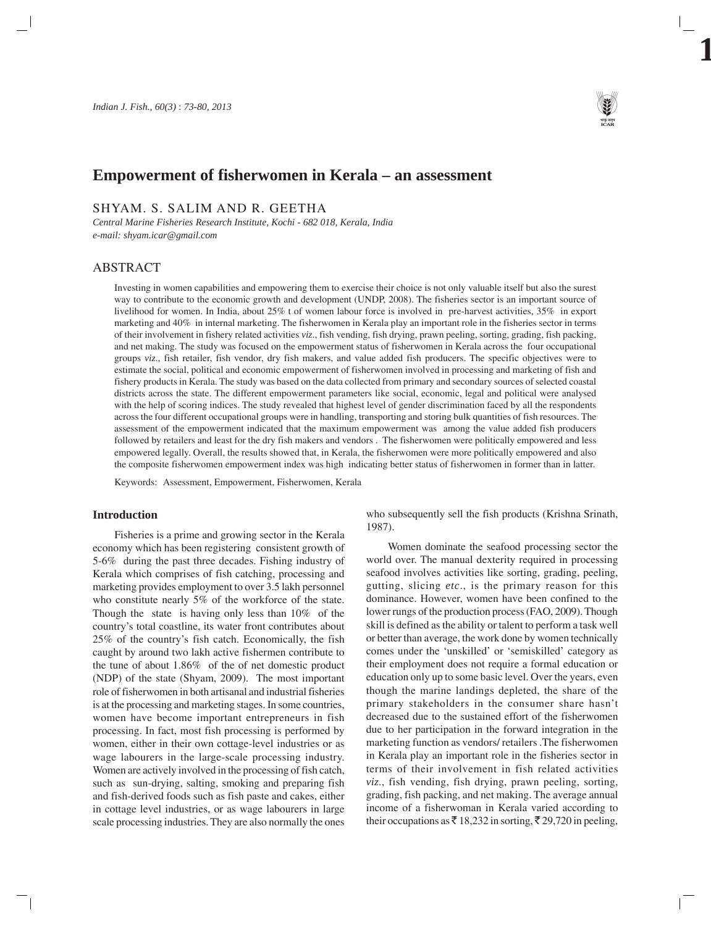

# **Empowerment of fisherwomen in Kerala – an assessment**

SHYAM. S. SALIM AND R. GEETHA

*Central Marine Fisheries Research Institute, Kochi - 682 018, Kerala, India e-mail: shyam.icar@gmail.com*

# ABSTRACT

Investing in women capabilities and empowering them to exercise their choice is not only valuable itself but also the surest way to contribute to the economic growth and development (UNDP, 2008). The fisheries sector is an important source of livelihood for women. In India, about 25% t of women labour force is involved in pre-harvest activities, 35% in export marketing and  $40\%$  in internal marketing. The fisherwomen in Kerala play an important role in the fisheries sector in terms of their involvement in fishery related activities *viz*., fish vending, fish drying, prawn peeling, sorting, grading, fish packing, and net making. The study was focused on the empowerment status of fisherwomen in Kerala across the four occupational groups *viz*., fish retailer, fish vendor, dry fish makers, and value added fish producers. The specific objectives were to estimate the social, political and economic empowerment of fisherwomen involved in processing and marketing of fish and fishery products in Kerala. The study was based on the data collected from primary and secondary sources of selected coastal districts across the state. The different empowerment parameters like social, economic, legal and political were analysed with the help of scoring indices. The study revealed that highest level of gender discrimination faced by all the respondents across the four different occupational groups were in handling, transporting and storing bulk quantities of fish resources. The assessment of the empowerment indicated that the maximum empowerment was among the value added fish producers followed by retailers and least for the dry fish makers and vendors . The fisherwomen were politically empowered and less empowered legally. Overall, the results showed that, in Kerala, the fisherwomen were more politically empowered and also the composite fisherwomen empowerment index was high indicating better status of fisherwomen in former than in latter.

Keywords: Assessment, Empowerment, Fisherwomen, Kerala

# **Introduction**

Fisheries is a prime and growing sector in the Kerala economy which has been registering consistent growth of 5-6% during the past three decades. Fishing industry of Kerala which comprises of fish catching, processing and marketing provides employment to over 3.5 lakh personnel who constitute nearly 5% of the workforce of the state. Though the state is having only less than 10% of the country's total coastline, its water front contributes about 25% of the country's fish catch. Economically, the fish caught by around two lakh active fishermen contribute to the tune of about 1.86% of the of net domestic product (NDP) of the state (Shyam, 2009). The most important role of fisherwomen in both artisanal and industrial fisheries is at the processing and marketing stages. In some countries, women have become important entrepreneurs in fish processing. In fact, most fish processing is performed by women, either in their own cottage-level industries or as wage labourers in the large-scale processing industry. Women are actively involved in the processing of fish catch, such as sun-drying, salting, smoking and preparing fish and fish-derived foods such as fish paste and cakes, either in cottage level industries, or as wage labourers in large scale processing industries. They are also normally the ones

who subsequently sell the fish products (Krishna Srinath, 1987).

Women dominate the seafood processing sector the world over. The manual dexterity required in processing seafood involves activities like sorting, grading, peeling, gutting, slicing *etc*., is the primary reason for this dominance. However, women have been confined to the lower rungs of the production process (FAO, 2009). Though skill is defined as the ability or talent to perform a task well or better than average, the work done by women technically comes under the 'unskilled' or 'semiskilled' category as their employment does not require a formal education or education only up to some basic level. Over the years, even though the marine landings depleted, the share of the primary stakeholders in the consumer share hasn't decreased due to the sustained effort of the fisherwomen due to her participation in the forward integration in the marketing function as vendors/ retailers .The fisherwomen in Kerala play an important role in the fisheries sector in terms of their involvement in fish related activities *viz*., fish vending, fish drying, prawn peeling, sorting, grading, fish packing, and net making. The average annual income of a fisherwoman in Kerala varied according to their occupations as  $\bar{\mathfrak{g}}$  18,232 in sorting,  $\bar{\mathfrak{g}}$  29,720 in peeling,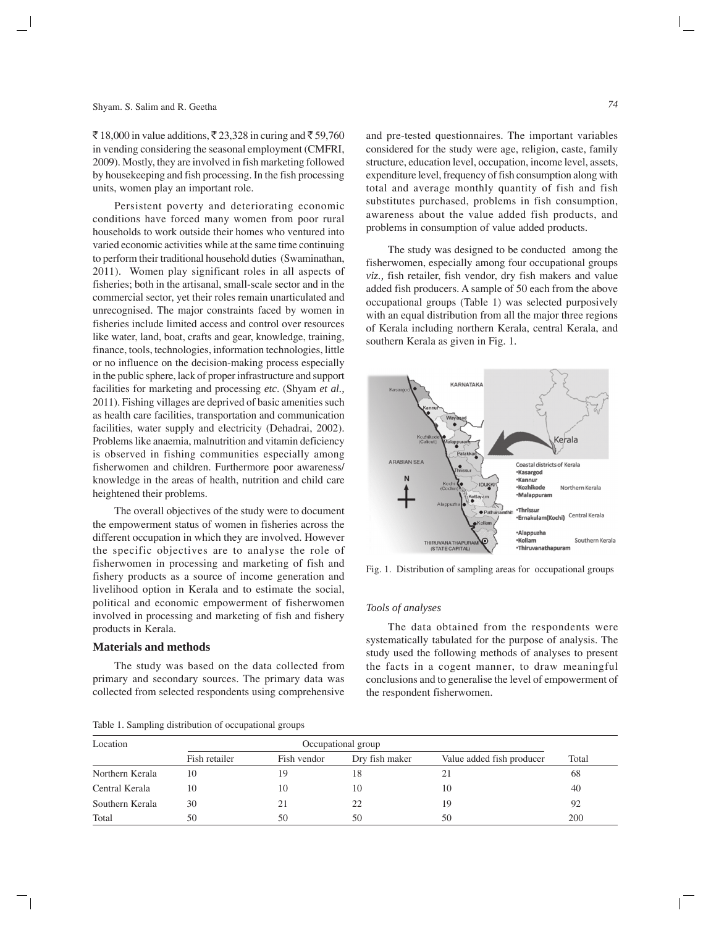$\bar{\mathcal{F}}$  18,000 in value additions,  $\bar{\mathcal{F}}$  23,328 in curing and  $\bar{\mathcal{F}}$  59,760 in vending considering the seasonal employment (CMFRI, 2009). Mostly, they are involved in fish marketing followed by housekeeping and fish processing. In the fish processing units, women play an important role.

Persistent poverty and deteriorating economic conditions have forced many women from poor rural households to work outside their homes who ventured into varied economic activities while at the same time continuing to perform their traditional household duties (Swaminathan, 2011). Women play significant roles in all aspects of fisheries; both in the artisanal, small-scale sector and in the commercial sector, yet their roles remain unarticulated and unrecognised. The major constraints faced by women in fisheries include limited access and control over resources like water, land, boat, crafts and gear, knowledge, training, finance, tools, technologies, information technologies, little or no influence on the decision-making process especially in the public sphere, lack of proper infrastructure and support facilities for marketing and processing *etc*. (Shyam *et al.,* 2011). Fishing villages are deprived of basic amenities such as health care facilities, transportation and communication facilities, water supply and electricity (Dehadrai, 2002). Problems like anaemia, malnutrition and vitamin deficiency is observed in fishing communities especially among fisherwomen and children. Furthermore poor awareness/ knowledge in the areas of health, nutrition and child care heightened their problems.

The overall objectives of the study were to document the empowerment status of women in fisheries across the different occupation in which they are involved. However the specific objectives are to analyse the role of fisherwomen in processing and marketing of fish and fishery products as a source of income generation and livelihood option in Kerala and to estimate the social, political and economic empowerment of fisherwomen involved in processing and marketing of fish and fishery products in Kerala.

#### **Materials and methods**

The study was based on the data collected from primary and secondary sources. The primary data was collected from selected respondents using comprehensive

Table 1. Sampling distribution of occupational groups

and pre-tested questionnaires. The important variables considered for the study were age, religion, caste, family structure, education level, occupation, income level, assets, expenditure level, frequency of fish consumption along with total and average monthly quantity of fish and fish substitutes purchased, problems in fish consumption, awareness about the value added fish products, and

The study was designed to be conducted among the fisherwomen, especially among four occupational groups *viz.,* fish retailer, fish vendor, dry fish makers and value added fish producers. A sample of 50 each from the above occupational groups (Table 1) was selected purposively with an equal distribution from all the major three regions of Kerala including northern Kerala, central Kerala, and southern Kerala as given in Fig. 1.

problems in consumption of value added products.



Fig. 1. Distribution of sampling areas for occupational groups

#### *Tools of analyses*

The data obtained from the respondents were systematically tabulated for the purpose of analysis. The study used the following methods of analyses to present the facts in a cogent manner, to draw meaningful conclusions and to generalise the level of empowerment of the respondent fisherwomen.

| Location        | Occupational group |             |                |                           |       |  |
|-----------------|--------------------|-------------|----------------|---------------------------|-------|--|
|                 | Fish retailer      | Fish vendor | Dry fish maker | Value added fish producer | Total |  |
| Northern Kerala | 10                 | 19          | 18             | 21                        | 68    |  |
| Central Kerala  | 10                 | 10          | 10             | 10                        | 40    |  |
| Southern Kerala | 30                 |             | 22             | 19                        | 92    |  |
| Total           | 50                 | 50          | 50             | 50                        | 200   |  |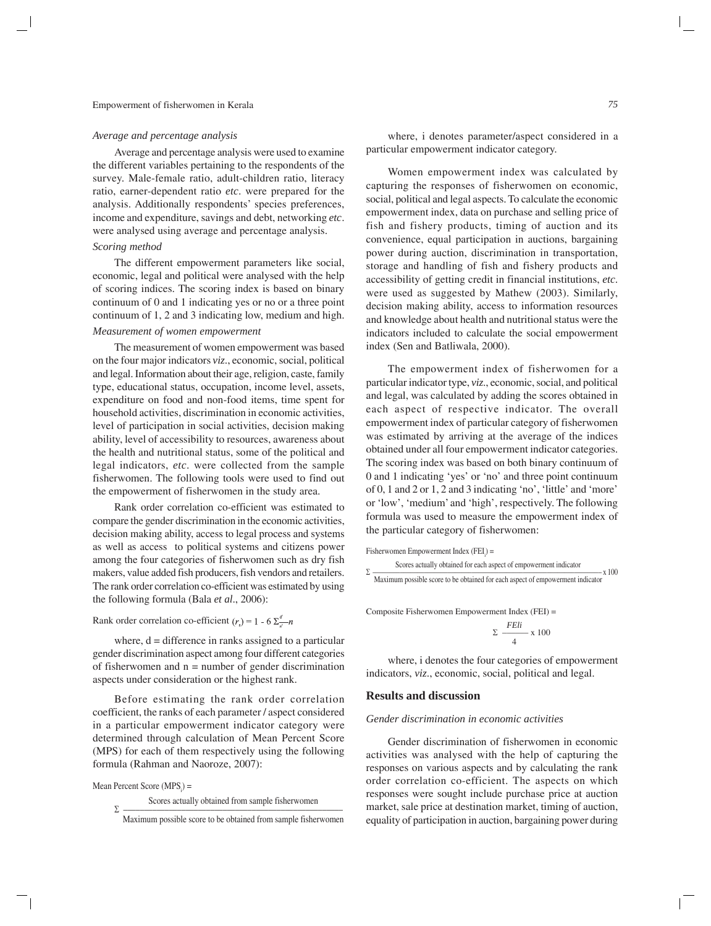#### *Average and percentage analysis*

Average and percentage analysis were used to examine the different variables pertaining to the respondents of the survey. Male-female ratio, adult-children ratio, literacy ratio, earner-dependent ratio *etc*. were prepared for the analysis. Additionally respondents' species preferences, income and expenditure, savings and debt, networking *etc*. were analysed using average and percentage analysis.

# *Scoring method*

The different empowerment parameters like social, economic, legal and political were analysed with the help of scoring indices. The scoring index is based on binary continuum of 0 and 1 indicating yes or no or a three point continuum of 1, 2 and 3 indicating low, medium and high.

## *Measurement of women empowerment*

The measurement of women empowerment was based on the four major indicators *viz*., economic, social, political and legal. Information about their age, religion, caste, family type, educational status, occupation, income level, assets, expenditure on food and non-food items, time spent for household activities, discrimination in economic activities, level of participation in social activities, decision making ability, level of accessibility to resources, awareness about the health and nutritional status, some of the political and legal indicators, *etc*. were collected from the sample fisherwomen. The following tools were used to find out the empowerment of fisherwomen in the study area.

Rank order correlation co-efficient was estimated to compare the gender discrimination in the economic activities, decision making ability, access to legal process and systems as well as access to political systems and citizens power among the four categories of fisherwomen such as dry fish makers, value added fish producers, fish vendors and retailers. The rank order correlation co-efficient was estimated by using the following formula (Bala *et al*., 2006):

Rank order correlation co-efficient  $(r_s) = 1 - 6 \sum_{i=1}^{d} n_i$ 

where,  $d =$  difference in ranks assigned to a particular gender discrimination aspect among four different categories of fisherwomen and  $n =$  number of gender discrimination aspects under consideration or the highest rank.

Before estimating the rank order correlation coefficient, the ranks of each parameter / aspect considered in a particular empowerment indicator category were determined through calculation of Mean Percent Score (MPS) for each of them respectively using the following formula (Rahman and Naoroze, 2007):

 $Mean Percent Score (MPS<sub>i</sub>) =$ 

Scores actually obtained from sample fisherwomen Σ –––––––––––––––––––––––––––––––––––––––––––––––––––––

where, i denotes parameter/aspect considered in a particular empowerment indicator category.

Women empowerment index was calculated by capturing the responses of fisherwomen on economic, social, political and legal aspects. To calculate the economic empowerment index, data on purchase and selling price of fish and fishery products, timing of auction and its convenience, equal participation in auctions, bargaining power during auction, discrimination in transportation, storage and handling of fish and fishery products and accessibility of getting credit in financial institutions, *etc*. were used as suggested by Mathew (2003). Similarly, decision making ability, access to information resources and knowledge about health and nutritional status were the indicators included to calculate the social empowerment index (Sen and Batliwala, 2000).

The empowerment index of fisherwomen for a particular indicator type, *viz*., economic, social, and political and legal, was calculated by adding the scores obtained in each aspect of respective indicator. The overall empowerment index of particular category of fisherwomen was estimated by arriving at the average of the indices obtained under all four empowerment indicator categories. The scoring index was based on both binary continuum of 0 and 1 indicating 'yes' or 'no' and three point continuum of 0, 1 and 2 or 1, 2 and 3 indicating 'no', 'little' and 'more' or 'low', 'medium' and 'high', respectively. The following formula was used to measure the empowerment index of the particular category of fisherwomen:

 $F$ isherwomen Empowerment Index ( $FEI$ <sub>i</sub>) =

Scores actually obtained for each aspect of empowerment indicator  $\sum$   $\frac{1}{2}$  Maximum possible score to be obtained for each aspect of empowerment indicator

Composite Fisherwomen Empowerment Index (FEI) =

$$
\Sigma \frac{FEli}{4} \times 100
$$

where, i denotes the four categories of empowerment indicators, *viz*., economic, social, political and legal.

# **Results and discussion**

#### *Gender discrimination in economic activities*

Gender discrimination of fisherwomen in economic activities was analysed with the help of capturing the responses on various aspects and by calculating the rank order correlation co-efficient. The aspects on which responses were sought include purchase price at auction market, sale price at destination market, timing of auction, equality of participation in auction, bargaining power during

Maximum possible score to be obtained from sample fisherwomen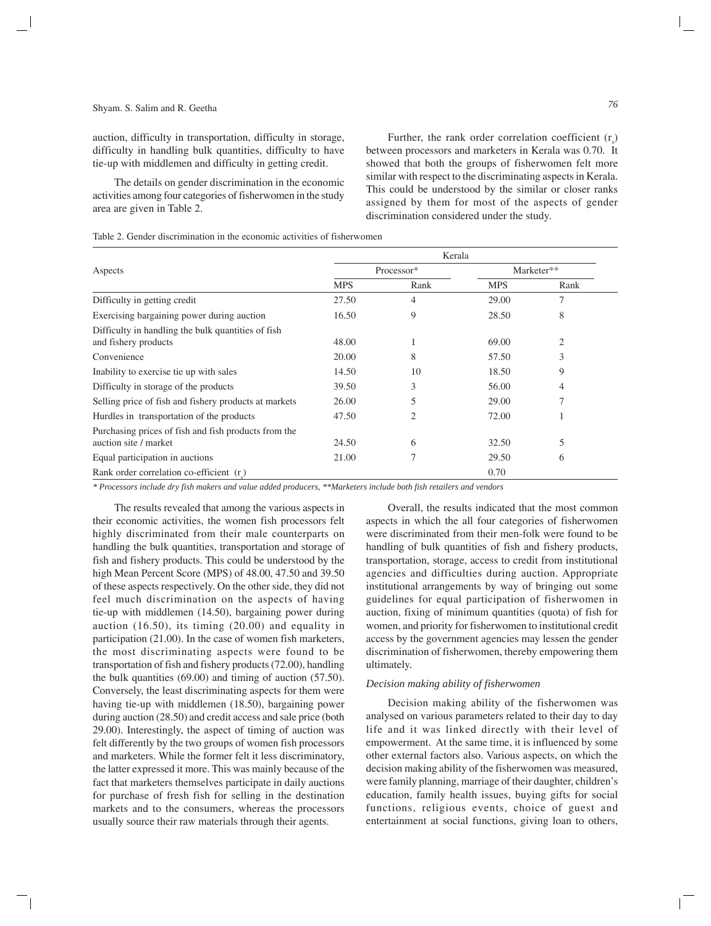auction, difficulty in transportation, difficulty in storage, difficulty in handling bulk quantities, difficulty to have tie-up with middlemen and difficulty in getting credit.

The details on gender discrimination in the economic activities among four categories of fisherwomen in the study area are given in Table 2.

Further, the rank order correlation coefficient  $(r<sub>s</sub>)$ between processors and marketers in Kerala was 0.70. It showed that both the groups of fisherwomen felt more similar with respect to the discriminating aspects in Kerala. This could be understood by the similar or closer ranks assigned by them for most of the aspects of gender discrimination considered under the study.

Table 2. Gender discrimination in the economic activities of fisherwomen

|                                                                               | Kerala     |      |            |                |
|-------------------------------------------------------------------------------|------------|------|------------|----------------|
| Aspects                                                                       | Processor* |      |            | Marketer**     |
|                                                                               | <b>MPS</b> | Rank | <b>MPS</b> | Rank           |
| Difficulty in getting credit                                                  | 27.50      | 4    | 29.00      | 7              |
| Exercising bargaining power during auction                                    | 16.50      | 9    | 28.50      | 8              |
| Difficulty in handling the bulk quantities of fish<br>and fishery products    | 48.00      |      | 69.00      | $\overline{2}$ |
| Convenience                                                                   | 20.00      | 8    | 57.50      | 3              |
| Inability to exercise tie up with sales                                       | 14.50      | 10   | 18.50      | 9              |
| Difficulty in storage of the products                                         | 39.50      | 3    | 56.00      | 4              |
| Selling price of fish and fishery products at markets                         | 26.00      | 5    | 29.00      | 7              |
| Hurdles in transportation of the products                                     | 47.50      | 2    | 72.00      | -1             |
| Purchasing prices of fish and fish products from the<br>auction site / market | 24.50      | 6    | 32.50      | 5              |
| Equal participation in auctions                                               | 21.00      | 7    | 29.50      | 6              |
| Rank order correlation co-efficient $(r)$                                     |            |      | 0.70       |                |

*\* Processors include dry fish makers and value added producers, \*\*Marketers include both fish retailers and vendors*

The results revealed that among the various aspects in their economic activities, the women fish processors felt highly discriminated from their male counterparts on handling the bulk quantities, transportation and storage of fish and fishery products. This could be understood by the high Mean Percent Score (MPS) of 48.00, 47.50 and 39.50 of these aspects respectively. On the other side, they did not feel much discrimination on the aspects of having tie-up with middlemen (14.50), bargaining power during auction (16.50), its timing (20.00) and equality in participation (21.00). In the case of women fish marketers, the most discriminating aspects were found to be transportation of fish and fishery products (72.00), handling the bulk quantities (69.00) and timing of auction (57.50). Conversely, the least discriminating aspects for them were having tie-up with middlemen (18.50), bargaining power during auction (28.50) and credit access and sale price (both 29.00). Interestingly, the aspect of timing of auction was felt differently by the two groups of women fish processors and marketers. While the former felt it less discriminatory, the latter expressed it more. This was mainly because of the fact that marketers themselves participate in daily auctions for purchase of fresh fish for selling in the destination markets and to the consumers, whereas the processors usually source their raw materials through their agents.

Overall, the results indicated that the most common aspects in which the all four categories of fisherwomen were discriminated from their men-folk were found to be handling of bulk quantities of fish and fishery products, transportation, storage, access to credit from institutional agencies and difficulties during auction. Appropriate institutional arrangements by way of bringing out some guidelines for equal participation of fisherwomen in auction, fixing of minimum quantities (quota) of fish for women, and priority for fisherwomen to institutional credit access by the government agencies may lessen the gender discrimination of fisherwomen, thereby empowering them ultimately.

#### *Decision making ability of fisherwomen*

Decision making ability of the fisherwomen was analysed on various parameters related to their day to day life and it was linked directly with their level of empowerment. At the same time, it is influenced by some other external factors also. Various aspects, on which the decision making ability of the fisherwomen was measured, were family planning, marriage of their daughter, children's education, family health issues, buying gifts for social functions, religious events, choice of guest and entertainment at social functions, giving loan to others,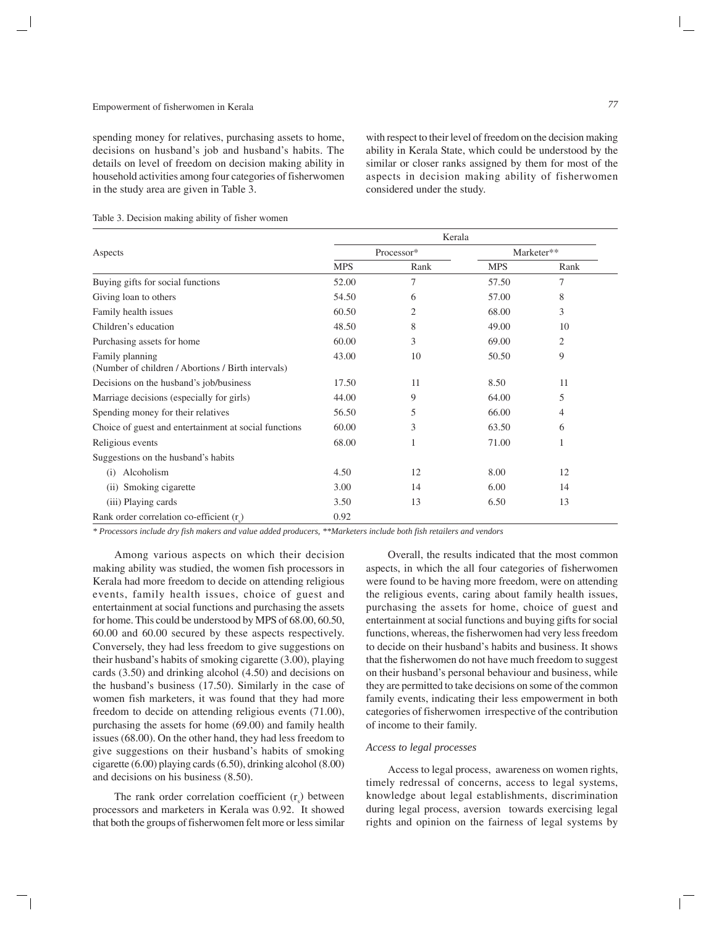spending money for relatives, purchasing assets to home, decisions on husband's job and husband's habits. The details on level of freedom on decision making ability in household activities among four categories of fisherwomen in the study area are given in Table 3.

with respect to their level of freedom on the decision making ability in Kerala State, which could be understood by the similar or closer ranks assigned by them for most of the aspects in decision making ability of fisherwomen considered under the study.

|                                                                       | Kerala     |                |            |      |  |
|-----------------------------------------------------------------------|------------|----------------|------------|------|--|
| Aspects                                                               |            | Processor*     | Marketer** |      |  |
|                                                                       | <b>MPS</b> | Rank           | <b>MPS</b> | Rank |  |
| Buying gifts for social functions                                     | 52.00      | 7              | 57.50      | 7    |  |
| Giving loan to others                                                 | 54.50      | 6              | 57.00      | 8    |  |
| Family health issues                                                  | 60.50      | $\overline{2}$ | 68.00      | 3    |  |
| Children's education                                                  | 48.50      | 8              | 49.00      | 10   |  |
| Purchasing assets for home                                            | 60.00      | 3              | 69.00      | 2    |  |
| Family planning<br>(Number of children / Abortions / Birth intervals) | 43.00      | 10             | 50.50      | 9    |  |
| Decisions on the husband's job/business                               | 17.50      | 11             | 8.50       | 11   |  |
| Marriage decisions (especially for girls)                             | 44.00      | 9              | 64.00      | 5    |  |
| Spending money for their relatives                                    | 56.50      | 5              | 66.00      | 4    |  |
| Choice of guest and entertainment at social functions                 | 60.00      | 3              | 63.50      | 6    |  |
| Religious events                                                      | 68.00      | 1              | 71.00      |      |  |
| Suggestions on the husband's habits                                   |            |                |            |      |  |
| Alcoholism<br>(i)                                                     | 4.50       | 12             | 8.00       | 12   |  |
| (ii) Smoking cigarette                                                | 3.00       | 14             | 6.00       | 14   |  |
| (iii) Playing cards                                                   | 3.50       | 13             | 6.50       | 13   |  |
| Rank order correlation co-efficient $(r)$                             | 0.92       |                |            |      |  |

Table 3. Decision making ability of fisher women

*\* Processors include dry fish makers and value added producers, \*\*Marketers include both fish retailers and vendors*

Among various aspects on which their decision making ability was studied, the women fish processors in Kerala had more freedom to decide on attending religious events, family health issues, choice of guest and entertainment at social functions and purchasing the assets for home. This could be understood by MPS of 68.00, 60.50, 60.00 and 60.00 secured by these aspects respectively. Conversely, they had less freedom to give suggestions on their husband's habits of smoking cigarette (3.00), playing cards (3.50) and drinking alcohol (4.50) and decisions on the husband's business (17.50). Similarly in the case of women fish marketers, it was found that they had more freedom to decide on attending religious events (71.00), purchasing the assets for home (69.00) and family health issues (68.00). On the other hand, they had less freedom to give suggestions on their husband's habits of smoking cigarette (6.00) playing cards (6.50), drinking alcohol (8.00) and decisions on his business (8.50).

The rank order correlation coefficient  $(r<sub>s</sub>)$  between processors and marketers in Kerala was 0.92. It showed that both the groups of fisherwomen felt more or less similar

Overall, the results indicated that the most common aspects, in which the all four categories of fisherwomen were found to be having more freedom, were on attending the religious events, caring about family health issues, purchasing the assets for home, choice of guest and entertainment at social functions and buying gifts for social functions, whereas, the fisherwomen had very less freedom to decide on their husband's habits and business. It shows that the fisherwomen do not have much freedom to suggest on their husband's personal behaviour and business, while they are permitted to take decisions on some of the common family events, indicating their less empowerment in both categories of fisherwomen irrespective of the contribution of income to their family.

# *Access to legal processes*

Access to legal process, awareness on women rights, timely redressal of concerns, access to legal systems, knowledge about legal establishments, discrimination during legal process, aversion towards exercising legal rights and opinion on the fairness of legal systems by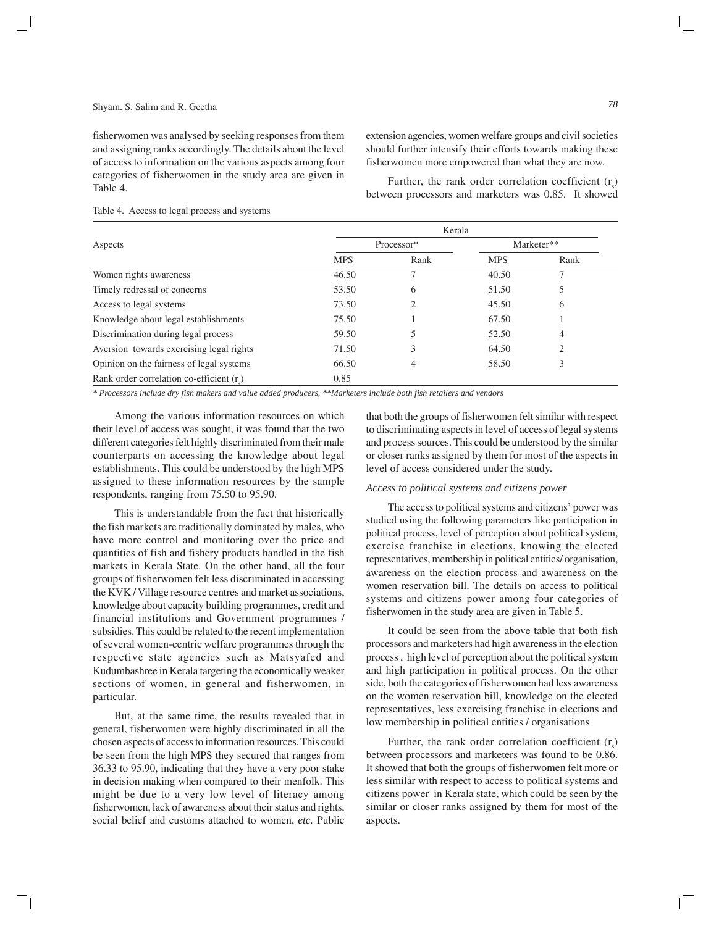fisherwomen was analysed by seeking responses from them and assigning ranks accordingly. The details about the level of access to information on the various aspects among four categories of fisherwomen in the study area are given in Table 4.

extension agencies, women welfare groups and civil societies should further intensify their efforts towards making these fisherwomen more empowered than what they are now.

Further, the rank order correlation coefficient  $(r<sub>s</sub>)$ between processors and marketers was 0.85. It showed

#### Table 4. Access to legal process and systems

|                                          | Kerala     |            |            |            |  |
|------------------------------------------|------------|------------|------------|------------|--|
| Aspects                                  |            | Processor* |            | Marketer** |  |
|                                          | <b>MPS</b> | Rank       | <b>MPS</b> | Rank       |  |
| Women rights awareness                   | 46.50      |            | 40.50      |            |  |
| Timely redressal of concerns             | 53.50      | 6          | 51.50      | 5          |  |
| Access to legal systems                  | 73.50      | 2          | 45.50      | 6          |  |
| Knowledge about legal establishments     | 75.50      |            | 67.50      |            |  |
| Discrimination during legal process      | 59.50      | 5          | 52.50      | 4          |  |
| Aversion towards exercising legal rights | 71.50      | 3          | 64.50      | 2          |  |
| Opinion on the fairness of legal systems | 66.50      | 4          | 58.50      | 3          |  |
| Rank order correlation co-efficient (r)  | 0.85       |            |            |            |  |

*\* Processors include dry fish makers and value added producers, \*\*Marketers include both fish retailers and vendors*

Among the various information resources on which their level of access was sought, it was found that the two different categories felt highly discriminated from their male counterparts on accessing the knowledge about legal establishments. This could be understood by the high MPS assigned to these information resources by the sample respondents, ranging from 75.50 to 95.90.

This is understandable from the fact that historically the fish markets are traditionally dominated by males, who have more control and monitoring over the price and quantities of fish and fishery products handled in the fish markets in Kerala State. On the other hand, all the four groups of fisherwomen felt less discriminated in accessing the KVK / Village resource centres and market associations, knowledge about capacity building programmes, credit and financial institutions and Government programmes / subsidies. This could be related to the recent implementation of several women-centric welfare programmes through the respective state agencies such as Matsyafed and Kudumbashree in Kerala targeting the economically weaker sections of women, in general and fisherwomen, in particular.

But, at the same time, the results revealed that in general, fisherwomen were highly discriminated in all the chosen aspects of access to information resources. This could be seen from the high MPS they secured that ranges from 36.33 to 95.90, indicating that they have a very poor stake in decision making when compared to their menfolk. This might be due to a very low level of literacy among fisherwomen, lack of awareness about their status and rights, social belief and customs attached to women, *etc.* Public

that both the groups of fisherwomen felt similar with respect to discriminating aspects in level of access of legal systems and process sources. This could be understood by the similar or closer ranks assigned by them for most of the aspects in level of access considered under the study.

# *Access to political systems and citizens power*

The access to political systems and citizens' power was studied using the following parameters like participation in political process, level of perception about political system, exercise franchise in elections, knowing the elected representatives, membership in political entities/ organisation, awareness on the election process and awareness on the women reservation bill. The details on access to political systems and citizens power among four categories of fisherwomen in the study area are given in Table 5.

It could be seen from the above table that both fish processors and marketers had high awareness in the election process , high level of perception about the political system and high participation in political process. On the other side, both the categories of fisherwomen had less awareness on the women reservation bill, knowledge on the elected representatives, less exercising franchise in elections and low membership in political entities / organisations

Further, the rank order correlation coefficient  $(r<sub>s</sub>)$ between processors and marketers was found to be 0.86. It showed that both the groups of fisherwomen felt more or less similar with respect to access to political systems and citizens power in Kerala state, which could be seen by the similar or closer ranks assigned by them for most of the aspects.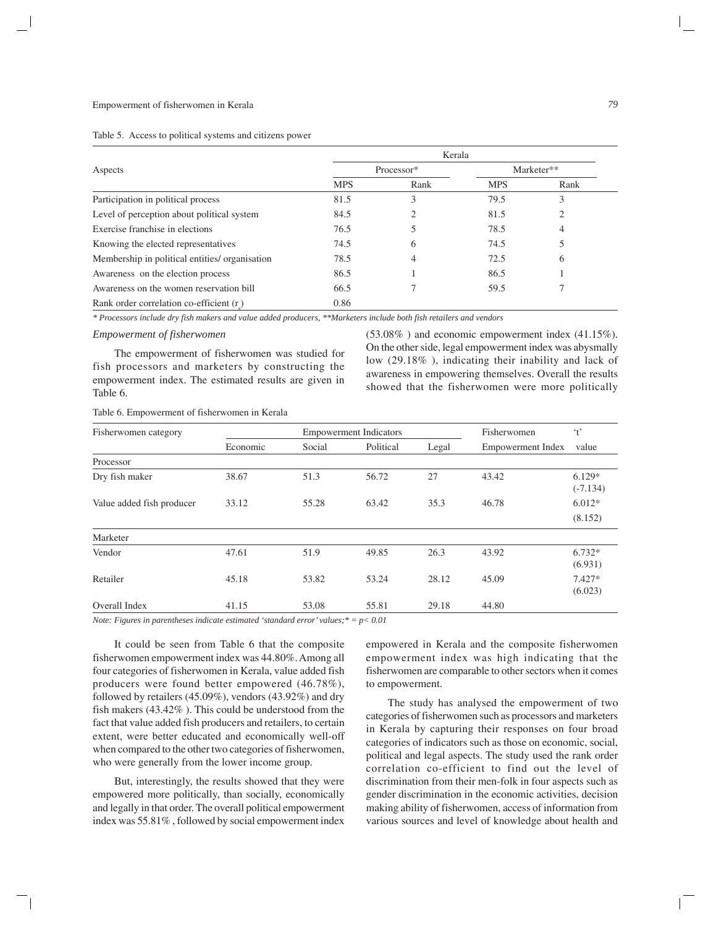|                                                | Kerala     |            |            |      |  |
|------------------------------------------------|------------|------------|------------|------|--|
| Aspects                                        |            | Processor* | Marketer** |      |  |
|                                                | <b>MPS</b> | Rank       | <b>MPS</b> | Rank |  |
| Participation in political process             | 81.5       | 3          | 79.5       | 3    |  |
| Level of perception about political system     | 84.5       |            | 81.5       | ◠    |  |
| Exercise franchise in elections                | 76.5       |            | 78.5       |      |  |
| Knowing the elected representatives            | 74.5       | 6          | 74.5       |      |  |
| Membership in political entities/ organisation | 78.5       | 4          | 72.5       | 6    |  |
| Awareness on the election process              | 86.5       |            | 86.5       |      |  |
| Awareness on the women reservation bill        | 66.5       |            | 59.5       |      |  |
| Rank order correlation co-efficient (r)        | 0.86       |            |            |      |  |

*\* Processors include dry fish makers and value added producers, \*\*Marketers include both fish retailers and vendors*

#### *Empowerment of fisherwomen*

The empowerment of fisherwomen was studied for fish processors and marketers by constructing the empowerment index. The estimated results are given in Table 6.

(53.08% ) and economic empowerment index (41.15%). On the other side, legal empowerment index was abysmally low (29.18% ), indicating their inability and lack of awareness in empowering themselves. Overall the results showed that the fisherwomen were more politically

Table 6. Empowerment of fisherwomen in Kerala

| Fisherwomen category      | <b>Empowerment Indicators</b> |        |           |       | Fisherwomen              | $\cdot t$              |  |
|---------------------------|-------------------------------|--------|-----------|-------|--------------------------|------------------------|--|
|                           | Economic                      | Social | Political | Legal | <b>Empowerment Index</b> | value                  |  |
| Processor                 |                               |        |           |       |                          |                        |  |
| Dry fish maker            | 38.67                         | 51.3   | 56.72     | 27    | 43.42                    | $6.129*$<br>$(-7.134)$ |  |
| Value added fish producer | 33.12                         | 55.28  | 63.42     | 35.3  | 46.78                    | $6.012*$               |  |
|                           |                               |        |           |       |                          | (8.152)                |  |
| Marketer                  |                               |        |           |       |                          |                        |  |
| Vendor                    | 47.61                         | 51.9   | 49.85     | 26.3  | 43.92                    | $6.732*$<br>(6.931)    |  |
| Retailer                  | 45.18                         | 53.82  | 53.24     | 28.12 | 45.09                    | $7.427*$<br>(6.023)    |  |
| Overall Index             | 41.15                         | 53.08  | 55.81     | 29.18 | 44.80                    |                        |  |

*Note: Figures in parentheses indicate estimated 'standard error' values;\* = p< 0.01*

It could be seen from Table 6 that the composite fisherwomen empowerment index was 44.80%. Among all four categories of fisherwomen in Kerala, value added fish producers were found better empowered (46.78%), followed by retailers (45.09%), vendors (43.92%) and dry fish makers (43.42% ). This could be understood from the fact that value added fish producers and retailers, to certain extent, were better educated and economically well-off when compared to the other two categories of fisherwomen, who were generally from the lower income group.

But, interestingly, the results showed that they were empowered more politically, than socially, economically and legally in that order. The overall political empowerment index was 55.81% , followed by social empowerment index empowered in Kerala and the composite fisherwomen empowerment index was high indicating that the fisherwomen are comparable to other sectors when it comes to empowerment.

The study has analysed the empowerment of two categories of fisherwomen such as processors and marketers in Kerala by capturing their responses on four broad categories of indicators such as those on economic, social, political and legal aspects. The study used the rank order correlation co-efficient to find out the level of discrimination from their men-folk in four aspects such as gender discrimination in the economic activities, decision making ability of fisherwomen, access of information from various sources and level of knowledge about health and